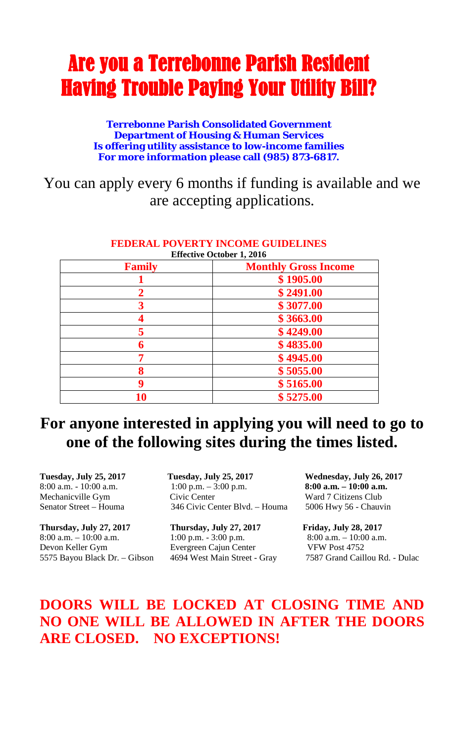## Are you a Terrebonne Parish Resident Having Trouble Paying Your Utility Bill?

**Terrebonne Parish Consolidated Government Department of Housing & Human Services Is offering utility assistance to low-income families For more information please call (985) 873-6817.**

You can apply every 6 months if funding is available and we are accepting applications.

| <b>Effective October 1, 2016</b> |                             |
|----------------------------------|-----------------------------|
| <b>Family</b>                    | <b>Monthly Gross Income</b> |
|                                  | \$1905.00                   |
|                                  | \$2491.00                   |
|                                  | \$3077.00                   |
|                                  | \$3663.00                   |
|                                  | \$4249.00                   |
| 6                                | \$4835.00                   |
| 7                                | \$4945.00                   |
| 8                                | \$5055.00                   |
|                                  | \$5165.00                   |
| 10                               | \$5275.00                   |

## **FEDERAL POVERTY INCOME GUIDELINES**

## **For anyone interested in applying you will need to go to one of the following sites during the times listed.**

**Thursday, July 27, 2017 Thursday, July 27, 2017 Friday, July 28, 2017**  8:00 a.m. – 10:00 a.m. 1:00 p.m. - 3:00 p.m. 8:00 a.m. – 10:00 a.m. Devon Keller Gym Evergreen Cajun Center VFW Post 4752

**Tuesday, July 25, 2017 Tuesday, July 25, 2017 Wednesday, July 26, 2017** 8:00 a.m. - 10:00 a.m. 1:00 p.m. – 3:00 p.m. **8:00 a.m. – 10:00 a.m.** Mechanicville Gym Civic Center Ward 7 Citizens Club Senator Street – Houma 346 Civic Center Blvd. – Houma 5006 Hwy 56 - Chauvin

5575 Bayou Black Dr. – Gibson 4694 West Main Street - Gray 7587 Grand Caillou Rd. - Dulac

## **DOORS WILL BE LOCKED AT CLOSING TIME AND NO ONE WILL BE ALLOWED IN AFTER THE DOORS ARE CLOSED. NO EXCEPTIONS!**